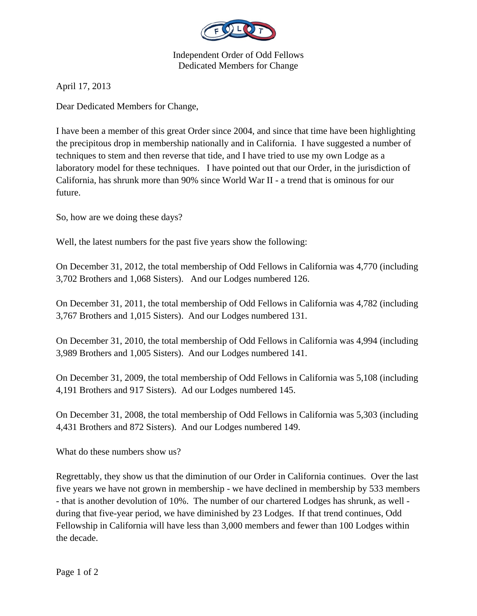

Independent Order of Odd Fellows Dedicated Members for Change

April 17, 2013

Dear Dedicated Members for Change,

I have been a member of this great Order since 2004, and since that time have been highlighting the precipitous drop in membership nationally and in California. I have suggested a number of techniques to stem and then reverse that tide, and I have tried to use my own Lodge as a laboratory model for these techniques. I have pointed out that our Order, in the jurisdiction of California, has shrunk more than 90% since World War II - a trend that is ominous for our future.

So, how are we doing these days?

Well, the latest numbers for the past five years show the following:

On December 31, 2012, the total membership of Odd Fellows in California was 4,770 (including 3,702 Brothers and 1,068 Sisters). And our Lodges numbered 126.

On December 31, 2011, the total membership of Odd Fellows in California was 4,782 (including 3,767 Brothers and 1,015 Sisters). And our Lodges numbered 131.

On December 31, 2010, the total membership of Odd Fellows in California was 4,994 (including 3,989 Brothers and 1,005 Sisters). And our Lodges numbered 141.

On December 31, 2009, the total membership of Odd Fellows in California was 5,108 (including 4,191 Brothers and 917 Sisters). Ad our Lodges numbered 145.

On December 31, 2008, the total membership of Odd Fellows in California was 5,303 (including 4,431 Brothers and 872 Sisters). And our Lodges numbered 149.

What do these numbers show us?

Regrettably, they show us that the diminution of our Order in California continues. Over the last five years we have not grown in membership - we have declined in membership by 533 members - that is another devolution of 10%. The number of our chartered Lodges has shrunk, as well during that five-year period, we have diminished by 23 Lodges. If that trend continues, Odd Fellowship in California will have less than 3,000 members and fewer than 100 Lodges within the decade.